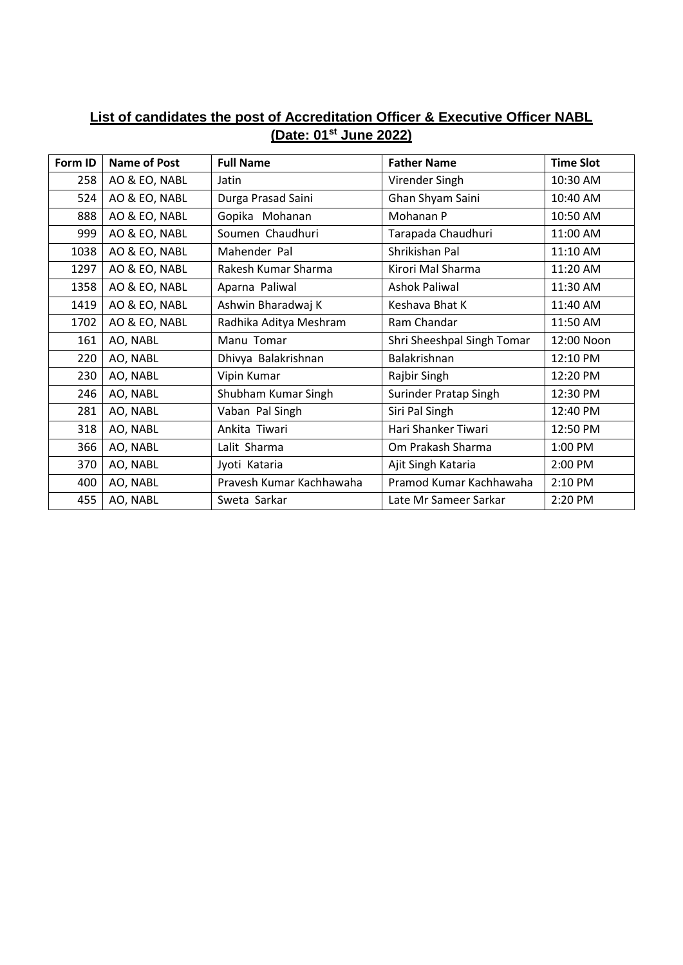## **List of candidates the post of Accreditation Officer & Executive Officer NABL (Date: 01st June 2022)**

| Form ID | <b>Name of Post</b> | <b>Full Name</b>         | <b>Father Name</b>         | <b>Time Slot</b> |
|---------|---------------------|--------------------------|----------------------------|------------------|
| 258     | AO & EO, NABL       | Jatin                    | Virender Singh             | 10:30 AM         |
| 524     | AO & EO, NABL       | Durga Prasad Saini       | Ghan Shyam Saini           | 10:40 AM         |
| 888     | AO & EO, NABL       | Gopika Mohanan           | Mohanan P                  | 10:50 AM         |
| 999     | AO & EO, NABL       | Soumen Chaudhuri         | Tarapada Chaudhuri         | 11:00 AM         |
| 1038    | AO & EO, NABL       | Mahender Pal             | Shrikishan Pal             | 11:10 AM         |
| 1297    | AO & EO, NABL       | Rakesh Kumar Sharma      | Kirori Mal Sharma          | 11:20 AM         |
| 1358    | AO & EO, NABL       | Aparna Paliwal           | <b>Ashok Paliwal</b>       | 11:30 AM         |
| 1419    | AO & EO, NABL       | Ashwin Bharadwaj K       | Keshava Bhat K             | 11:40 AM         |
| 1702    | AO & EO, NABL       | Radhika Aditya Meshram   | Ram Chandar                | 11:50 AM         |
| 161     | AO, NABL            | Manu Tomar               | Shri Sheeshpal Singh Tomar | 12:00 Noon       |
| 220     | AO, NABL            | Dhivya Balakrishnan      | Balakrishnan               | 12:10 PM         |
| 230     | AO, NABL            | Vipin Kumar              | Rajbir Singh               | 12:20 PM         |
| 246     | AO, NABL            | Shubham Kumar Singh      | Surinder Pratap Singh      | 12:30 PM         |
| 281     | AO, NABL            | Vaban Pal Singh          | Siri Pal Singh             | 12:40 PM         |
| 318     | AO, NABL            | Ankita Tiwari            | Hari Shanker Tiwari        | 12:50 PM         |
| 366     | AO, NABL            | Lalit Sharma             | Om Prakash Sharma          | 1:00 PM          |
| 370     | AO, NABL            | Jyoti Kataria            | Ajit Singh Kataria         | 2:00 PM          |
| 400     | AO, NABL            | Pravesh Kumar Kachhawaha | Pramod Kumar Kachhawaha    | 2:10 PM          |
| 455     | AO, NABL            | Sweta Sarkar             | Late Mr Sameer Sarkar      | 2:20 PM          |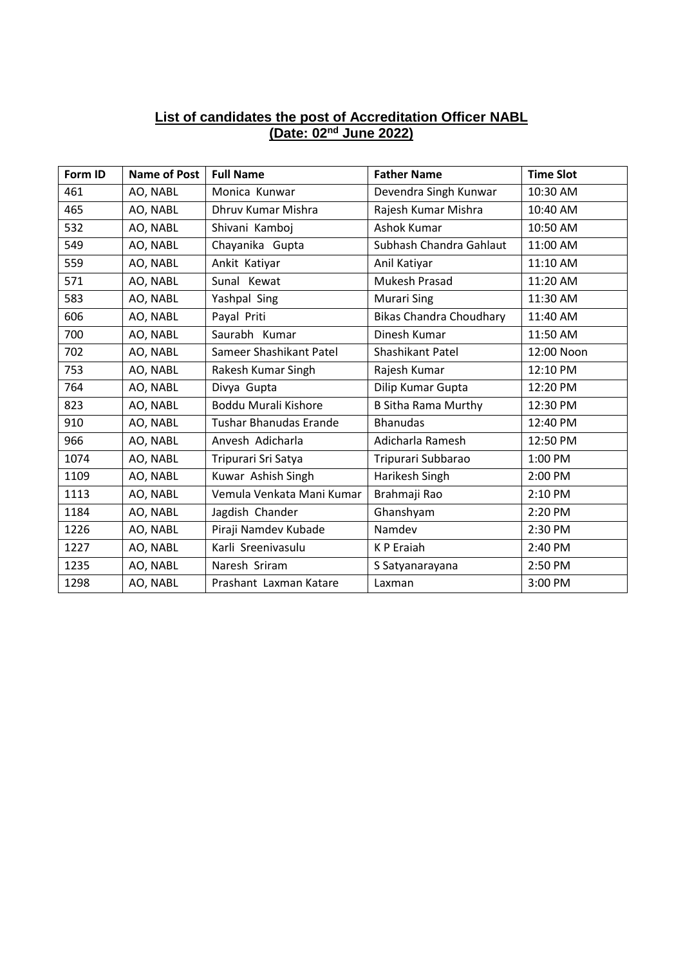## **List of candidates the post of Accreditation Officer NABL (Date: 02nd June 2022)**

| Form ID | Name of Post | <b>Full Name</b>              | <b>Father Name</b>             | <b>Time Slot</b> |
|---------|--------------|-------------------------------|--------------------------------|------------------|
| 461     | AO, NABL     | Monica Kunwar                 | Devendra Singh Kunwar          | 10:30 AM         |
| 465     | AO, NABL     | Dhruv Kumar Mishra            | Rajesh Kumar Mishra            | 10:40 AM         |
| 532     | AO, NABL     | Shivani Kamboj                | Ashok Kumar                    | 10:50 AM         |
| 549     | AO, NABL     | Chayanika Gupta               | Subhash Chandra Gahlaut        | 11:00 AM         |
| 559     | AO, NABL     | Ankit Katiyar                 | Anil Katiyar                   | 11:10 AM         |
| 571     | AO, NABL     | Sunal Kewat                   | Mukesh Prasad                  | 11:20 AM         |
| 583     | AO, NABL     | Yashpal Sing                  | <b>Murari Sing</b>             | 11:30 AM         |
| 606     | AO, NABL     | Payal Priti                   | <b>Bikas Chandra Choudhary</b> | 11:40 AM         |
| 700     | AO, NABL     | Saurabh Kumar                 | Dinesh Kumar                   | 11:50 AM         |
| 702     | AO, NABL     | Sameer Shashikant Patel       | Shashikant Patel               | 12:00 Noon       |
| 753     | AO, NABL     | Rakesh Kumar Singh            | Rajesh Kumar                   | 12:10 PM         |
| 764     | AO, NABL     | Divya Gupta                   | Dilip Kumar Gupta              | 12:20 PM         |
| 823     | AO, NABL     | Boddu Murali Kishore          | <b>B Sitha Rama Murthy</b>     | 12:30 PM         |
| 910     | AO, NABL     | <b>Tushar Bhanudas Erande</b> | <b>Bhanudas</b>                | 12:40 PM         |
| 966     | AO, NABL     | Anvesh Adicharla              | Adicharla Ramesh               | 12:50 PM         |
| 1074    | AO, NABL     | Tripurari Sri Satya           | Tripurari Subbarao             | 1:00 PM          |
| 1109    | AO, NABL     | Kuwar Ashish Singh            | Harikesh Singh                 | 2:00 PM          |
| 1113    | AO, NABL     | Vemula Venkata Mani Kumar     | Brahmaji Rao                   | 2:10 PM          |
| 1184    | AO, NABL     | Jagdish Chander               | Ghanshyam                      | 2:20 PM          |
| 1226    | AO, NABL     | Piraji Namdev Kubade          | Namdev                         | 2:30 PM          |
| 1227    | AO, NABL     | Karli Sreenivasulu            | K P Eraiah                     | 2:40 PM          |
| 1235    | AO, NABL     | Naresh Sriram                 | S Satyanarayana                | 2:50 PM          |
| 1298    | AO, NABL     | Prashant Laxman Katare        | Laxman                         | 3:00 PM          |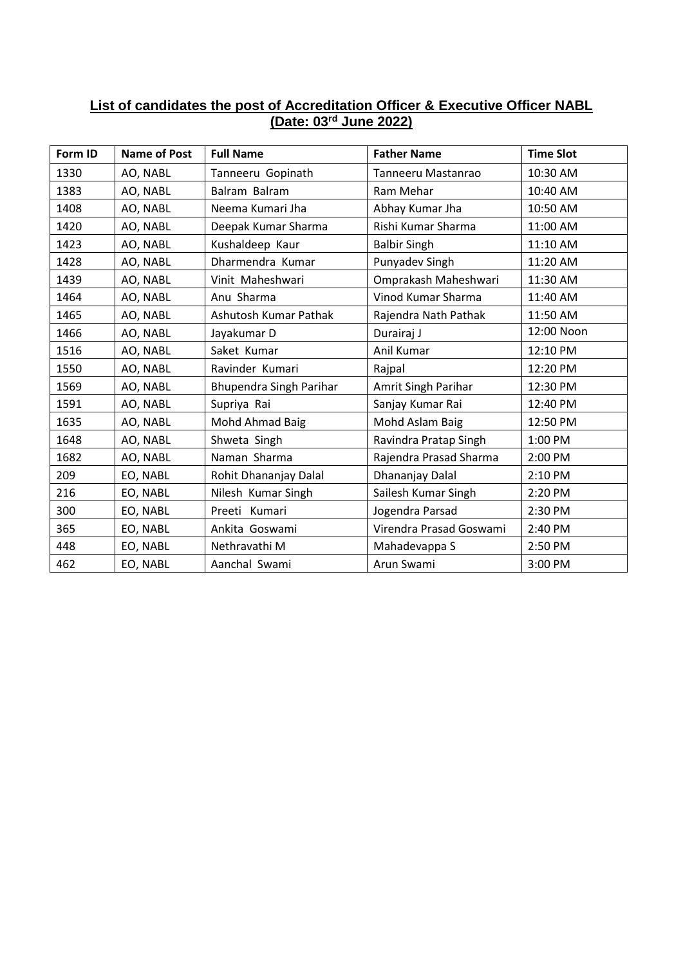## **List of candidates the post of Accreditation Officer & Executive Officer NABL (Date: 03rd June 2022)**

| Form ID | <b>Name of Post</b> | <b>Full Name</b>        | <b>Father Name</b>      | <b>Time Slot</b> |
|---------|---------------------|-------------------------|-------------------------|------------------|
| 1330    | AO, NABL            | Tanneeru Gopinath       | Tanneeru Mastanrao      | 10:30 AM         |
| 1383    | AO, NABL            | Balram Balram           | Ram Mehar               | 10:40 AM         |
| 1408    | AO, NABL            | Neema Kumari Jha        | Abhay Kumar Jha         | 10:50 AM         |
| 1420    | AO, NABL            | Deepak Kumar Sharma     | Rishi Kumar Sharma      | 11:00 AM         |
| 1423    | AO, NABL            | Kushaldeep Kaur         | <b>Balbir Singh</b>     | 11:10 AM         |
| 1428    | AO, NABL            | Dharmendra Kumar        | Punyadev Singh          | 11:20 AM         |
| 1439    | AO, NABL            | Vinit Maheshwari        | Omprakash Maheshwari    | 11:30 AM         |
| 1464    | AO, NABL            | Anu Sharma              | Vinod Kumar Sharma      | 11:40 AM         |
| 1465    | AO, NABL            | Ashutosh Kumar Pathak   | Rajendra Nath Pathak    | 11:50 AM         |
| 1466    | AO, NABL            | Jayakumar D             | Durairaj J              | 12:00 Noon       |
| 1516    | AO, NABL            | Saket Kumar             | Anil Kumar              | 12:10 PM         |
| 1550    | AO, NABL            | Ravinder Kumari         | Rajpal                  | 12:20 PM         |
| 1569    | AO, NABL            | Bhupendra Singh Parihar | Amrit Singh Parihar     | 12:30 PM         |
| 1591    | AO, NABL            | Supriya Rai             | Sanjay Kumar Rai        | 12:40 PM         |
| 1635    | AO, NABL            | Mohd Ahmad Baig         | Mohd Aslam Baig         | 12:50 PM         |
| 1648    | AO, NABL            | Shweta Singh            | Ravindra Pratap Singh   | 1:00 PM          |
| 1682    | AO, NABL            | Naman Sharma            | Rajendra Prasad Sharma  | 2:00 PM          |
| 209     | EO, NABL            | Rohit Dhananjay Dalal   | Dhananjay Dalal         | 2:10 PM          |
| 216     | EO, NABL            | Nilesh Kumar Singh      | Sailesh Kumar Singh     | 2:20 PM          |
| 300     | EO, NABL            | Preeti Kumari           | Jogendra Parsad         | 2:30 PM          |
| 365     | EO, NABL            | Ankita Goswami          | Virendra Prasad Goswami | 2:40 PM          |
| 448     | EO, NABL            | Nethravathi M           | Mahadevappa S           | 2:50 PM          |
| 462     | EO, NABL            | Aanchal Swami           | Arun Swami              | 3:00 PM          |